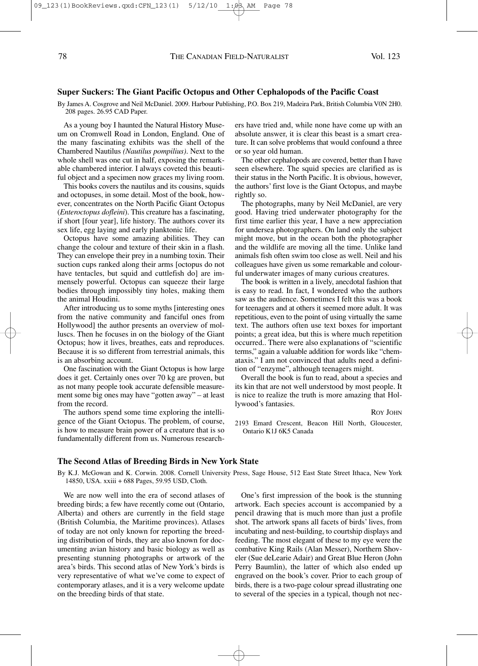## **Super Suckers: The Giant Pacific Octopus and Other Cephalopods of the Pacific Coast**

By James A. Cosgrove and Neil McDaniel. 2009. Harbour Publishing, P.O. Box 219, Madeira Park, British Columbia V0N 2H0. 208 pages. 26.95 CAD Paper.

As a young boy I haunted the Natural History Museum on Cromwell Road in London, England. One of the many fascinating exhibits was the shell of the Chambered Nautilus *(Nautilus pompilius)*. Next to the whole shell was one cut in half, exposing the remarkable chambered interior. I always coveted this beautiful object and a specimen now graces my living room.

This books covers the nautilus and its cousins, squids and octopuses, in some detail. Most of the book, however, concentrates on the North Pacific Giant Octopus (*Enteroctopus dofleini*). This creature has a fascinating, if short [four year], life history. The authors cover its sex life, egg laying and early planktonic life.

Octopus have some amazing abilities. They can change the colour and texture of their skin in a flash. They can envelope their prey in a numbing toxin. Their suction cups ranked along their arms [octopus do not have tentacles, but squid and cuttlefish do] are immensely powerful. Octopus can squeeze their large bodies through impossibly tiny holes, making them the animal Houdini.

After introducing us to some myths [interesting ones from the native community and fanciful ones from Hollywood] the author presents an overview of molluscs. Then he focuses in on the biology of the Giant Octopus; how it lives, breathes, eats and reproduces. Because it is so different from terrestrial animals, this is an absorbing account.

One fascination with the Giant Octopus is how large does it get. Certainly ones over 70 kg are proven, but as not many people took accurate defensible measurement some big ones may have "gotten away" – at least from the record.

The authors spend some time exploring the intelligence of the Giant Octopus. The problem, of course, is how to measure brain power of a creature that is so fundamentally different from us. Numerous researchers have tried and, while none have come up with an absolute answer, it is clear this beast is a smart creature. It can solve problems that would confound a three or so year old human.

The other cephalopods are covered, better than I have seen elsewhere. The squid species are clarified as is their status in the North Pacific. It is obvious, however, the authors' first love is the Giant Octopus, and maybe rightly so.

The photographs, many by Neil McDaniel, are very good. Having tried underwater photography for the first time earlier this year, I have a new appreciation for undersea photographers. On land only the subject might move, but in the ocean both the photographer and the wildlife are moving all the time. Unlike land animals fish often swim too close as well. Neil and his colleagues have given us some remarkable and colourful underwater images of many curious creatures.

The book is written in a lively, anecdotal fashion that is easy to read. In fact, I wondered who the authors saw as the audience. Sometimes I felt this was a book for teenagers and at others it seemed more adult. It was repetitious, even to the point of using virtually the same text. The authors often use text boxes for important points; a great idea, but this is where much repetition occurred.. There were also explanations of "scientific terms," again a valuable addition for words like "chemataxis." I am not convinced that adults need a definition of "enzyme", although teenagers might.

Overall the book is fun to read, about a species and its kin that are not well understood by most people. It is nice to realize the truth is more amazing that Hollywood's fantasies.

ROY JOHN

2193 Emard Crescent, Beacon Hill North, Gloucester, Ontario K1J 6K5 Canada

## **The Second Atlas of Breeding Birds in New York State**

By K.J. McGowan and K. Corwin. 2008. Cornell University Press, Sage House, 512 East State Street Ithaca, New York 14850, USA. xxiii + 688 Pages, 59.95 USD, Cloth.

We are now well into the era of second atlases of breeding birds; a few have recently come out (Ontario, Alberta) and others are currently in the field stage (British Columbia, the Maritime provinces). Atlases of today are not only known for reporting the breeding distribution of birds, they are also known for documenting avian history and basic biology as well as presenting stunning photographs or artwork of the area's birds. This second atlas of New York's birds is very representative of what we've come to expect of contemporary atlases, and it is a very welcome update on the breeding birds of that state.

One's first impression of the book is the stunning artwork. Each species account is accompanied by a pencil drawing that is much more than just a profile shot. The artwork spans all facets of birds' lives, from incubating and nest-building, to courtship displays and feeding. The most elegant of these to my eye were the combative King Rails (Alan Messer), Northern Shoveler (Sue deLearie Adair) and Great Blue Heron (John Perry Baumlin), the latter of which also ended up engraved on the book's cover. Prior to each group of birds, there is a two-page colour spread illustrating one to several of the species in a typical, though not nec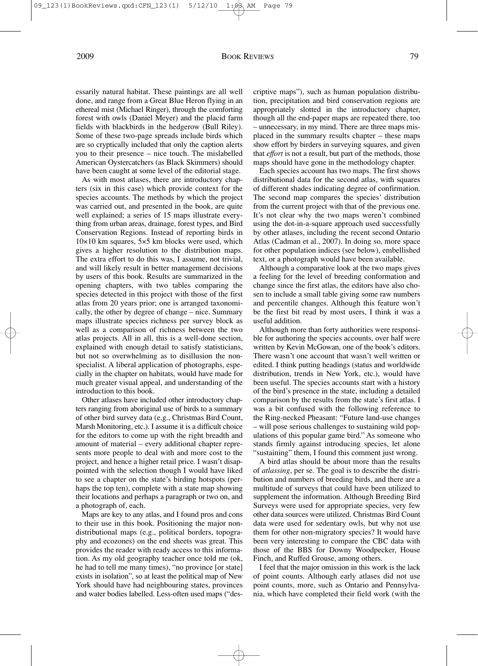essarily natural habitat. These paintings are all well done, and range from a Great Blue Heron flying in an ethereal mist (Michael Ringer), through the comforting forest with owls (Daniel Meyer) and the placid farm fields with blackbirds in the hedgerow (Bull Riley). Some of these two-page spreads include birds which are so cryptically included that only the caption alerts you to their presence – nice touch. The mislabelled American Oystercatchers (as Black Skimmers) should have been caught at some level of the editorial stage.

As with most atlases, there are introductory chapters (six in this case) which provide context for the species accounts. The methods by which the project was carried out, and presented in the book, are quite well explained; a series of 15 maps illustrate everything from urban areas, drainage, forest types, and Bird Conservation Regions. Instead of reporting birds in  $10\times10$  km squares,  $5\times5$  km blocks were used, which gives a higher resolution to the distribution maps. The extra effort to do this was, I assume, not trivial, and will likely result in better management decisions by users of this book. Results are summarized in the opening chapters, with two tables comparing the species detected in this project with those of the first atlas from 20 years prior; one is arranged taxonomically, the other by degree of change – nice. Summary maps illustrate species richness per survey block as well as a comparison of richness between the two atlas projects. All in all, this is a well-done section, explained with enough detail to satisfy statisticians, but not so overwhelming as to disillusion the nonspecialist. A liberal application of photographs, especially in the chapter on habitats, would have made for much greater visual appeal, and understanding of the introduction to this book.

Other atlases have included other introductory chapters ranging from aboriginal use of birds to a summary of other bird survey data (e.g., Christmas Bird Count, Marsh Monitoring, etc.). I assume it is a difficult choice for the editors to come up with the right breadth and amount of material – every additional chapter represents more people to deal with and more cost to the project, and hence a higher retail price. I wasn't disappointed with the selection though I would have liked to see a chapter on the state's birding hotspots (perhaps the top ten), complete with a state map showing their locations and perhaps a paragraph or two on, and a photograph of, each.

Maps are key to any atlas, and I found pros and cons to their use in this book. Positioning the major nondistributional maps (e.g., political borders, topography and ecozones) on the end sheets was great. This provides the reader with ready access to this information. As my old geography teacher once told me (ok, he had to tell me many times), "no province [or state] exists in isolation", so at least the political map of New York should have had neighbouring states, provinces and water bodies labelled. Less-often used maps ("descriptive maps"), such as human population distribution, precipitation and bird conservation regions are appropriately slotted in the introductory chapter, though all the end-paper maps are repeated there, too – unnecessary, in my mind. There are three maps misplaced in the summary results chapter – these maps show effort by birders in surveying squares, and given that *effort* is not a result, but part of the methods, those maps should have gone in the methodology chapter.

Each species account has two maps. The first shows distributional data for the second atlas, with squares of different shades indicating degree of confirmation. The second map compares the species' distribution from the current project with that of the previous one. It's not clear why the two maps weren't combined using the dot-in-a-square approach used successfully by other atlases, including the recent second Ontario Atlas (Cadman et al., 2007). In doing so, more space for other population indices (see below), embellished text, or a photograph would have been available.

Although a comparative look at the two maps gives a feeling for the level of breeding conformation and change since the first atlas, the editors have also chosen to include a small table giving some raw numbers and percentile changes. Although this feature won't be the first bit read by most users, I think it was a useful addition.

Although more than forty authorities were responsible for authoring the species accounts, over half were written by Kevin McGowan, one of the book's editors. There wasn't one account that wasn't well written or edited. I think putting headings (status and worldwide distribution, trends in New York, etc.), would have been useful. The species accounts start with a history of the bird's presence in the state, including a detailed comparison by the results from the state's first atlas. I was a bit confused with the following reference to the Ring-necked Pheasant: "Future land-use changes – will pose serious challenges to sustaining wild populations of this popular game bird." As someone who stands firmly against introducing species, let alone "sustaining" them, I found this comment just wrong.

A bird atlas should be about more than the results of *atlassing*, per se. The goal is to describe the distribution and numbers of breeding birds, and there are a multitude of surveys that could have been utilized to supplement the information. Although Breeding Bird Surveys were used for appropriate species, very few other data sources were utilized. Christmas Bird Count data were used for sedentary owls, but why not use them for other non-migratory species? It would have been very interesting to compare the CBC data with those of the BBS for Downy Woodpecker, House Finch, and Ruffed Grouse, among others.

I feel that the major omission in this work is the lack of point counts. Although early atlases did not use point counts, more, such as Ontario and Pennsylvania, which have completed their field work (with the